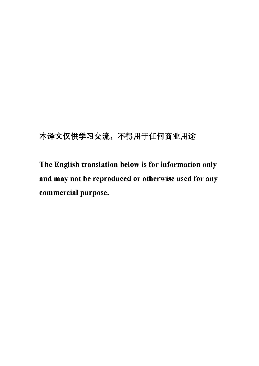# 本译文仅供学习交流, 不得用于任何商业用途

The English translation below is for information only and may not be reproduced or otherwise used for any commercial purpose.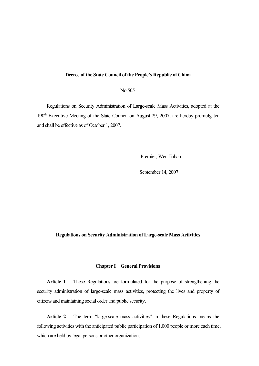## **Decree of the State Council of the People's Republic of China**

No.505

Regulations on Security Administration of Large-scale Mass Activities, adopted at the 190<sup>th</sup> Executive Meeting of the State Council on August 29, 2007, are hereby promulgated and shall be effective as of October 1, 2007.

Premier, Wen Jiabao

September 14, 2007

### **Regulations on Security Administration of Large-scale Mass Activities**

#### **Chapter I General Provisions**

**Article 1** These Regulations are formulated for the purpose of strengthening the security administration of large-scale mass activities, protecting the lives and property of citizens and maintaining social order and public security.

**Article 2** The term "large-scale mass activities" in these Regulations means the following activities with the anticipated public participation of 1,000 people or more each time, which are held by legal persons or other organizations: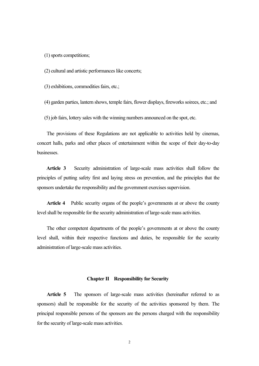(1)sports competitions;

(2) cultural and artistic performanceslike concerts;

 $(3)$  exhibitions, commodities fairs, etc.;

(4) garden parties, lantern shows, temple fairs, flower displays, fireworks soirees, etc.; and

(5) job fairs, lottery sales with the winning numbers announced on the spot, etc.

The provisions of these Regulations are not applicable to activities held by cinemas, concert halls, parks and other places of entertainment within the scope of their day-to-day businesses.

**Article 3** Security administration of large-scale mass activities shall follow the principles of putting safety first and laying stress on prevention, and the principles that the sponsors undertake the responsibility and the government exercises supervision.

**Article 4** Public security organs of the people's governments at or above the county level shall be responsible for the security administration of large-scale mass activities.

The other competent departments of the people's governments at or above the county level shall, within their respective functions and duties, be responsible for the security administration of large-scale mass activities.

#### **Chapter II Responsibility for Security**

**Article 5** The sponsors of large-scale mass activities (hereinafter referred to as sponsors) shall be responsible for the security of the activities sponsored by them. The principal responsible persons of the sponsors are the persons charged with the responsibility for the security of large-scale mass activities.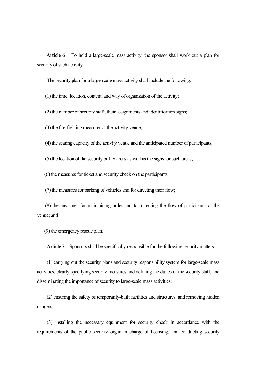**Article 6** To hold a large-scale mass activity, the sponsor shall work out a plan for security of such activity.

The security plan for a large-scale mass activity shall include the following:

(1) the time, location, content, and way of organization of the activity;

 $(2)$  the number of security staff, their assignments and identification signs;

(3) the fire-fighting measures at the activity venue;

(4) the seating capacity of the activity venue and the anticipated number of participants;

 $(5)$  the location of the security buffer areas as well as the signs for such areas;

 $(6)$  the measures for ticket and security check on the participants;

(7) the measures for parking of vehicles and for directing their flow;

(8) the measures for maintaining order and for directing the flow of participants at the venue; and

(9) the emergency rescue plan.

Article 7 Sponsors shall be specifically responsible for the following security matters:

(1) carrying out the security plans and security responsibility system for large-scale mass activities, clearly specifying security measures and defining the duties of the security staff, and disseminating the importance of security to large-scale mass activities;

(2) ensuring the safety of temporarily-built facilities and structures, and removing hidden dangers;

(3) installing the necessary equipment for security check in accordance with the requirements of the public security organ in charge of licensing, and conducting security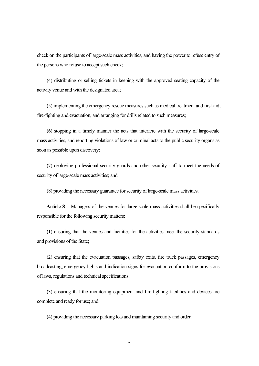check on the participants of large-scale mass activities, and having the power to refuse entry of the persons who refuse to accept such check;

(4) distributing or selling tickets in keeping with the approved seating capacity of the activity venue and with the designated area;

(5) implementing the emergency rescue measures such as medical treatment and first-aid, fire-fighting and evacuation, and arranging for drills related to such measures;

(6) stopping in a timely mannerthe acts that interfere with the security of large-scale mass activities, and reporting violations of law or criminal acts to the public security organs as soon as possible upon discovery;

(7) deploying professional security guards and other security staff to meet the needs of security of large-scale mass activities; and

(8) providing the necessary guarantee forsecurity of large-scale mass activities.

**Article 8** Managers of the venues for large-scale mass activities shall be specifically responsible for the following security matters:

(1) ensuring that the venues and facilities for the activities meetthe security standards and provisions of the State;

(2) ensuring that the evacuation passages, safety exits, fire truck passages, emergency broadcasting, emergency lights and indication signs for evacuation conform to the provisions of laws, regulations and technical specifications;

(3) ensuring that the monitoring equipment and fire-fighting facilities and devices are complete and ready for use; and

(4) providing the necessary parking lots and maintaining security and order.

4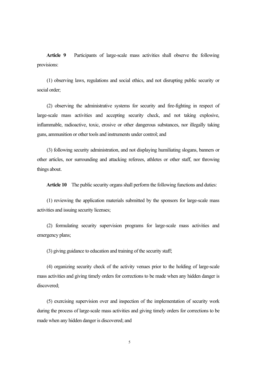**Article 9** Participants of large-scale mass activities shall observe the following provisions:

(1) observing laws, regulations and social ethics, and not disrupting public security or social order;

 $(2)$  observing the administrative systems for security and fire-fighting in respect of large-scale mass activities and accepting security check, and not taking explosive, inflammable, radioactive, toxic, erosive or other dangerous substances, nor illegally taking guns, ammunition or other tools and instruments under control; and

(3) following security administration, and not displaying humiliating slogans, banners or other articles, nor surrounding and attacking referees, athletes or other staff, nor throwing things about.

Article 10 The public security organs shall perform the following functions and duties:

(1) reviewing the application materials submitted by the sponsors for large-scale mass activities and issuing security licenses;

(2) formulating security supervision programs for large-scale mass activities and emergency plans;

(3) giving guidance to education and training of the security staff;

(4) organizing security check of the activity venues prior to the holding of large-scale mass activities and giving timely orders for corrections to be made when any hidden danger is discovered;

(5) exercising supervision over and inspection of the implementation of security work during the process of large-scale mass activities and giving timely orders for corrections to be made when any hidden danger is discovered; and

5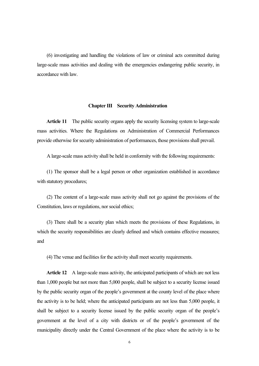(6) investigating and handling the violations oflaw or criminal acts committed during large-scale mass activities and dealing with the emergencies endangering public security, in accordance with law.

#### **Chapter III Security Administration**

**Article 11** The public security organs apply the security licensing system to large-scale mass activities. Where the Regulations on Administration of Commercial Performances provide otherwise for security administration of performances, those provisions shall prevail.

A large-scale mass activity shall be held in conformity with the following requirements:

(1) The sponsor shall be a legal person or other organization established in accordance with statutory procedures;

(2) The content of a large-scale mass activity shall not go against the provisions of the Constitution, laws or regulations, nor social ethics;

(3) There shall be a security plan which meets the provisions of these Regulations, in which the security responsibilities are clearly defined and which contains effective measures; and

(4) The venue and facilities for the activity shall meet security requirements.

Article 12 A large-scale mass activity, the anticipated participants of which are not less than 1,000 people but not more than 5,000 people, shall be subject to a security license issued by the public security organ of the people's government at the county level of the place where the activity is to be held; where the anticipated participants are not less than 5,000 people, it shall be subject to a security license issued by the public security organ of the people's government at the level of a city with districts or of the people's government of the municipality directly under the Central Government of the place where the activity is to be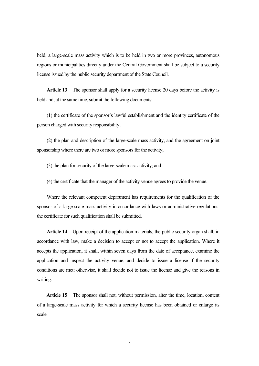held; a large-scale mass activity which is to be held in two or more provinces, autonomous regions or municipalities directly under the Central Government shall be subject to a security license issued by the public security department of the State Council.

**Article 13** The sponsor shall apply for a security license 20 days before the activity is held and, at the same time, submit the following documents:

(1) the certificate of the sponsor's lawful establishment and the identity certificate of the person charged with security responsibility;

(2) the plan and description of the large-scale mass activity, and the agreement on joint sponsorship where there are two or more sponsors for the activity;

(3) the plan forsecurity of the large-scale mass activity; and

(4) the certificate that the manager of the activity venue agreesto provide the venue.

Where the relevant competent department has requirements for the qualification of the sponsor of a large-scale mass activity in accordance with laws or administrative regulations, the certificate for such qualification shall be submitted.

**Article 14** Upon receipt of the application materials, the public security organ shall, in accordance with law, make a decision to accept or not to accept the application. Where it accepts the application, it shall, within seven days from the date of acceptance, examine the application and inspect the activity venue, and decide to issue a license if the security conditions are met; otherwise, it shall decide not to issue the license and give the reasons in writing.

**Article 15** The sponsor shall not, without permission, alter the time, location, content of a large-scale mass activity for which a security license has been obtained or enlarge its scale.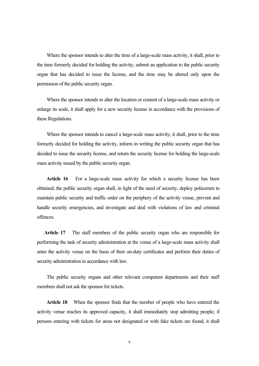Where the sponsor intends to alter the time of a large-scale mass activity, it shall, prior to the time formerly decided for holding the activity, submit an application to the public security organ that has decided to issue the license, and the time may be altered only upon the permission of the public security organ.

Where the sponsor intends to alter the location or content of a large-scale mass activity or enlarge its scale, it shall apply for a new security license in accordance with the provisions of these Regulations.

Where the sponsor intends to cancel a large-scale mass activity, it shall, prior to the time formerly decided for holding the activity, inform in writing the public security organ that has decided to issue the security license, and return the security license for holding the large-scale mass activity issued by the public security organ.

**Article 16** For a large-scale mass activity for which a security license has been obtained, the public security organ shall, in light of the need of security, deploy policemen to maintain public security and traffic order on the periphery of the activity venue, prevent and handle security emergencies, and investigate and deal with violations of law and criminal offences.

**Article 17** The staff members of the public security organ who are responsible for performing the task of security administration at the venue of a large-scale mass activity shall enter the activity venue on the basis of their on-duty certificates and perform their duties of security administration in accordance with law.<br>The public security organs and other relevant competent departments and their staff

members shall not ask the sponsor for tickets.

**Article 18** When the sponsor finds that the number of people who have entered the activity venue reaches its approved capacity, it shall immediately stop admitting people; if persons entering with tickets for areas not designated or with fake tickets are found, it shall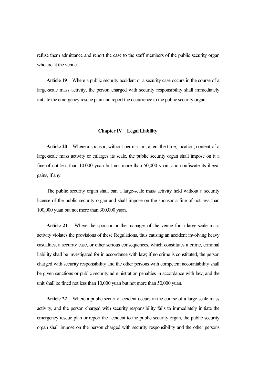refuse them admittance and report the case to the staff members of the public security organ who are at the venue.

**Article 19** Where a public security accident or a security case occurs in the course of a large-scale mass activity, the person charged with security responsibility shall immediately initiate the emergency rescue plan and report the occurrence to the public security organ.

## **Chapter IV Legal Liability**

**Article 20** Where a sponsor, without permission, alters the time, location, content of a large-scale mass activity or enlarges its scale, the public security organ shall impose on it a fine of not less than 10,000 yuan but not more than 50,000 yuan, and confiscate its illegal gains, if any.

The public security organ shall ban a large-scale mass activity held without a security license of the public security organ and shall impose on the sponsor a fine of not less than 100,000 yuan but not more than 300,000 yuan.

**Article 21** Where the sponsor or the manager of the venue for a large-scale mass activity violates the provisions of these Regulations, thus causing an accident involving heavy casualties, a security case, or other serious consequences, which constitutes a crime, criminal liability shall be investigated for in accordance with law; if no crime is constituted, the person charged with security responsibility and the other persons with competent accountability shall be given sanctions or public security administration penalties in accordance with law, and the unit shall be fined not less than 10,000 yuan but not more than 50,000 yuan.

**Article 22** Where a public security accident occurs in the course of a large-scale mass activity, and the person charged with security responsibility fails to immediately initiate the emergency rescue plan or report the accident to the public security organ, the public security organ shall impose on the person charged with security responsibility and the other persons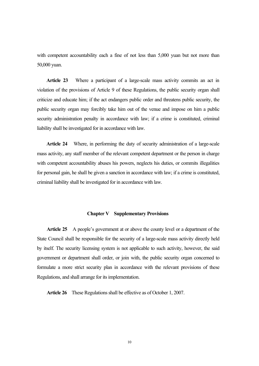with competent accountability each a fine of not less than 5,000 yuan but not more than 50,000 yuan.

**Article 23** Where a participant of a large-scale mass activity commits an act in violation of the provisions of Article 9 of these Regulations, the public security organ shall criticize and educate him; if the act endangers public order and threatens public security, the public security organ may forcibly take him out of the venue and impose on him a public security administration penalty in accordance with law; if a crime is constituted, criminal liability shall be investigated for in accordance with law.

**Article 24** Where, in performing the duty of security administration of a large-scale mass activity, any staff member of the relevant competent department or the person in charge with competent accountability abuses his powers, neglects his duties, or commits illegalities for personal gain, he shall be given a sanction in accordance with law; if a crime is constituted, criminal liability shall be investigated for in accordance with law.

#### **Chapter V Supplementary Provisions**

**Article 25** A people's government at or above the county level or a department of the State Council shall be responsible for the security of a large-scale mass activity directly held by itself. The security licensing system is not applicable to such activity, however, the said government or department shall order, or join with, the public security organ concerned to formulate a more strict security plan in accordance with the relevant provisions of these Regulations, and shall arrange for itsimplementation.

**Article 26** These Regulations shall be effective as of October 1, 2007.